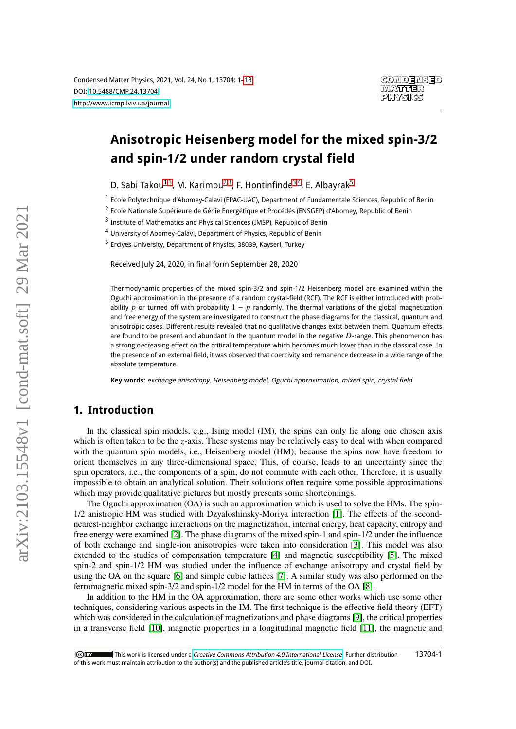# **Anisotropic Heisenberg model for the mixed spin-3/2 and spin-1/2 under random crystal field**

D. Sabi Takou<sup>[1,](#page-0-0)[3](#page-0-1)</sup>, M. Karimou<sup>[2](#page-0-2)[,3](#page-0-1)</sup>, F. Hontinfinde<sup>[3,](#page-0-1)[4](#page-0-3)</sup>, E. Albayrak<sup>[5](#page-0-4)</sup>

<span id="page-0-2"></span><span id="page-0-0"></span><sup>1</sup> Ecole Polytechnique d'Abomey-Calavi (EPAC-UAC), Department of Fundamentale Sciences, Republic of Benin

<span id="page-0-1"></span> $^3$  Institute of Mathematics and Physical Sciences (IMSP), Republic of Benin

<span id="page-0-3"></span><sup>4</sup> University of Abomey-Calavi, Department of Physics, Republic of Benin

<span id="page-0-4"></span><sup>5</sup> Erciyes University, Department of Physics, 38039, Kayseri, Turkey

Received July 24, 2020, in final form September 28, 2020

Thermodynamic properties of the mixed spin-3/2 and spin-1/2 Heisenberg model are examined within the Oguchi approximation in the presence of a random crystal-field (RCF). The RCF is either introduced with probability p or turned off with probability  $1 - p$  randomly. The thermal variations of the global magnetization and free energy of the system are investigated to construct the phase diagrams for the classical, quantum and anisotropic cases. Different results revealed that no qualitative changes exist between them. Quantum effects are found to be present and abundant in the quantum model in the negative  $D$ -range. This phenomenon has a strong decreasing effect on the critical temperature which becomes much lower than in the classical case. In the presence of an external field, it was observed that coercivity and remanence decrease in a wide range of the absolute temperature.

**Key words:** exchange anisotropy, Heisenberg model, Oguchi approximation, mixed spin, crystal field

#### **1. Introduction**

In the classical spin models, e.g., Ising model (IM), the spins can only lie along one chosen axis which is often taken to be the  $z$ -axis. These systems may be relatively easy to deal with when compared with the quantum spin models, i.e., Heisenberg model (HM), because the spins now have freedom to orient themselves in any three-dimensional space. This, of course, leads to an uncertainty since the spin operators, i.e., the components of a spin, do not commute with each other. Therefore, it is usually impossible to obtain an analytical solution. Their solutions often require some possible approximations which may provide qualitative pictures but mostly presents some shortcomings.

The Oguchi approximation (OA) is such an approximation which is used to solve the HMs. The spin-1/2 anistropic HM was studied with Dzyaloshinsky-Moriya interaction [\[1\]](#page-10-0). The effects of the secondnearest-neighbor exchange interactions on the magnetization, internal energy, heat capacity, entropy and free energy were examined [\[2\]](#page-10-1). The phase diagrams of the mixed spin-1 and spin-1/2 under the influence of both exchange and single-ion anisotropies were taken into consideration [\[3\]](#page-10-2). This model was also extended to the studies of compensation temperature [\[4\]](#page-10-3) and magnetic susceptibility [\[5\]](#page-10-4). The mixed spin-2 and spin-1/2 HM was studied under the influence of exchange anisotropy and crystal field by using the OA on the square [\[6\]](#page-10-5) and simple cubic lattices [\[7\]](#page-10-6). A similar study was also performed on the ferromagnetic mixed spin-3/2 and spin-1/2 model for the HM in terms of the OA [\[8\]](#page-10-7).

In addition to the HM in the OA approximation, there are some other works which use some other techniques, considering various aspects in the IM. The first technique is the effective field theory (EFT) which was considered in the calculation of magnetizations and phase diagrams [\[9\]](#page-10-8), the critical properties in a transverse field [\[10\]](#page-10-9), magnetic properties in a longitudinal magnetic field [\[11\]](#page-10-10), the magnetic and

<sup>&</sup>lt;sup>2</sup> Ecole Nationale Supérieure de Génie Energétique et Procédés (ENSGEP) d'Abomey, Republic of Benin

This work is licensed under a *[Creative Commons Attribution 4.0 International License](https://creativecommons.org/licenses/by/4.0/)*. Further distribution 13704-1  $\left[\right]$  (cc) BY of this work must maintain attribution to the author(s) and the published article's title, journal citation, and DOI.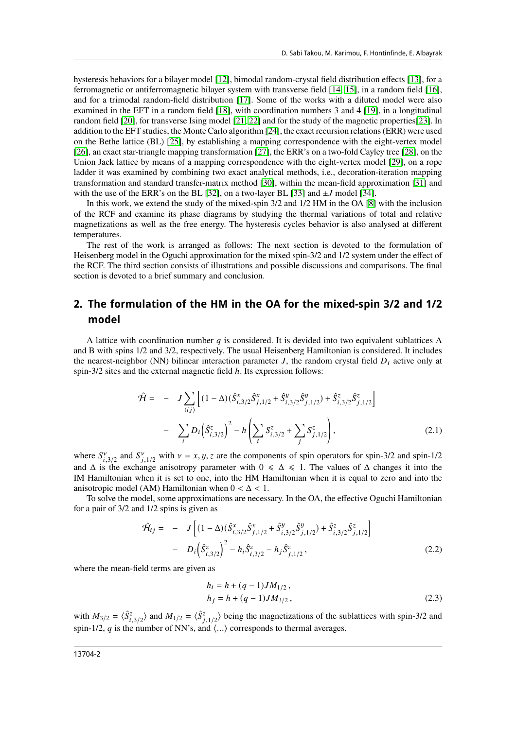hysteresis behaviors for a bilayer model [\[12\]](#page-10-11), bimodal random-crystal field distribution effects [\[13\]](#page-10-12), for a ferromagnetic or antiferromagnetic bilayer system with transverse field [\[14,](#page-10-13) [15\]](#page-11-0), in a random field [\[16\]](#page-11-1), and for a trimodal random-field distribution [\[17\]](#page-11-2). Some of the works with a diluted model were also examined in the EFT in a random field [\[18\]](#page-11-3), with coordination numbers 3 and 4 [\[19\]](#page-11-4), in a longitudinal random field [\[20\]](#page-11-5), for transverse Ising model [\[21,](#page-11-6) [22\]](#page-11-7) and for the study of the magnetic properties[\[23\]](#page-11-8). In addition to the EFT studies, the Monte Carlo algorithm [\[24\]](#page-11-9), the exact recursion relations (ERR) were used on the Bethe lattice (BL) [\[25\]](#page-11-10), by establishing a mapping correspondence with the eight-vertex model [\[26\]](#page-11-11), an exact star-triangle mapping transformation [\[27\]](#page-11-12), the ERR's on a two-fold Cayley tree [\[28\]](#page-11-13), on the Union Jack lattice by means of a mapping correspondence with the eight-vertex model [\[29\]](#page-11-14), on a rope ladder it was examined by combining two exact analytical methods, i.e., decoration-iteration mapping transformation and standard transfer-matrix method [\[30\]](#page-11-15), within the mean-field approximation [\[31\]](#page-11-16) and with the use of the ERR's on the BL [\[32\]](#page-11-17), on a two-layer BL [\[33\]](#page-11-18) and  $\pm J$  model [\[34\]](#page-11-19).

In this work, we extend the study of the mixed-spin 3/2 and 1/2 HM in the OA [\[8\]](#page-10-7) with the inclusion of the RCF and examine its phase diagrams by studying the thermal variations of total and relative magnetizations as well as the free energy. The hysteresis cycles behavior is also analysed at different temperatures.

The rest of the work is arranged as follows: The next section is devoted to the formulation of Heisenberg model in the Oguchi approximation for the mixed spin-3/2 and 1/2 system under the effect of the RCF. The third section consists of illustrations and possible discussions and comparisons. The final section is devoted to a brief summary and conclusion.

### **2. The formulation of the HM in the OA for the mixed-spin 3/2 and 1/2 model**

A lattice with coordination number  $q$  is considered. It is devided into two equivalent sublattices A and B with spins 1/2 and 3/2, respectively. The usual Heisenberg Hamiltonian is considered. It includes the nearest-neighbor (NN) bilinear interaction parameter J, the random crystal field  $D_i$  active only at spin-3/2 sites and the external magnetic field *h*. Its expression follows:

$$
\hat{\mathcal{H}} = -J \sum_{\langle ij \rangle} \left[ (1 - \Delta) (\hat{S}_{i,3/2}^{x} \hat{S}_{j,1/2}^{x} + \hat{S}_{i,3/2}^{y} \hat{S}_{j,1/2}^{y}) + \hat{S}_{i,3/2}^{z} \hat{S}_{j,1/2}^{z} \right] \n- \sum_{i} D_{i} (\hat{S}_{i,3/2}^{z})^{2} - h \left( \sum_{i} S_{i,3/2}^{z} + \sum_{j} S_{j,1/2}^{z} \right),
$$
\n(2.1)

where  $S_{i,3/2}^{\nu}$  and  $S_{j,1/2}^{\nu}$  with  $\nu = x, y, z$  are the components of spin operators for spin-3/2 and spin-1/2 and  $\Delta$  is the exchange anisotropy parameter with  $0 \le \Delta \le 1$ . The values of  $\Delta$  changes it into the IM Hamiltonian when it is set to one, into the HM Hamiltonian when it is equal to zero and into the anisotropic model (AM) Hamiltonian when  $0 < \Delta < 1$ .

To solve the model, some approximations are necessary. In the OA, the effective Oguchi Hamiltonian for a pair of 3/2 and 1/2 spins is given as

$$
\hat{\mathcal{H}}_{ij} = -J \left[ (1 - \Delta) (\hat{S}_{i,3/2}^x \hat{S}_{j,1/2}^x + \hat{S}_{i,3/2}^y \hat{S}_{j,1/2}^y) + \hat{S}_{i,3/2}^z \hat{S}_{j,1/2}^z \right] \n- D_i \left( \hat{S}_{i,3/2}^z \right)^2 - h_i \hat{S}_{i,3/2}^z - h_j \hat{S}_{j,1/2}^z,
$$
\n(2.2)

where the mean-field terms are given as

$$
h_i = h + (q - 1)JM_{1/2},
$$
  
\n
$$
h_j = h + (q - 1)JM_{3/2},
$$
\n(2.3)

with  $M_{3/2} = \langle \hat{S}_i^z \rangle$  $\langle \vec{S}_{i,3/2} \rangle$  and  $M_{1/2} = \langle \hat{S}_{j}^{z} \rangle$  $\binom{z}{j,1/2}$  being the magnetizations of the sublattices with spin-3/2 and spin-1/2, q is the number of NN's, and  $\langle ... \rangle$  corresponds to thermal averages.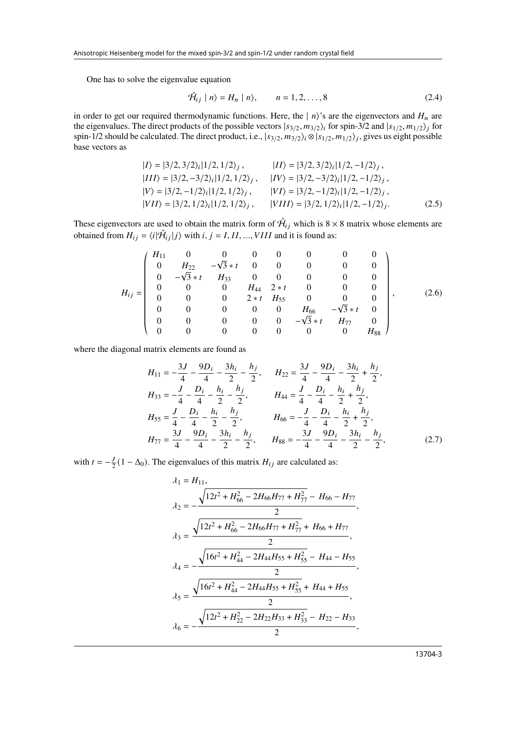One has to solve the eigenvalue equation

$$
\hat{\mathcal{H}}_{ij} \mid n \rangle = H_n \mid n \rangle, \qquad n = 1, 2, \dots, 8 \tag{2.4}
$$

in order to get our required thermodynamic functions. Here, the  $|n\rangle$ 's are the eigenvectors and  $H_n$  are the eigenvalues. The direct products of the possible vectors  $|s_{3/2}, m_{3/2}\rangle_i$  for spin-3/2 and  $|s_{1/2}, m_{1/2}\rangle_j$  for spin-1/2 should be calculated. The direct product, i.e.,  $|s_{3/2}, m_{3/2}\rangle_i \otimes |s_{1/2}, m_{1/2}\rangle_j$ , gives us eight possible base vectors as

$$
|I\rangle = |3/2, 3/2\rangle_i |1/2, 1/2\rangle_j, \qquad |II\rangle = |3/2, 3/2\rangle_i |1/2, -1/2\rangle_j, \n|III\rangle = |3/2, -3/2\rangle_i |1/2, 1/2\rangle_j, \qquad |IV\rangle = |3/2, -3/2\rangle_i |1/2, -1/2\rangle_j, \n|V\rangle = |3/2, -1/2\rangle_i |1/2, 1/2\rangle_j, \qquad |VI\rangle = |3/2, -1/2\rangle_i |1/2, -1/2\rangle_j, \n|VII\rangle = |3/2, 1/2\rangle_i |1/2, 1/2\rangle_j, \qquad |VIII\rangle = |3/2, 1/2\rangle_i |1/2, -1/2\rangle_j. \qquad (2.5)
$$

These eigenvectors are used to obtain the matrix form of  $\hat{\mathcal{H}}_{ij}$  which is 8 × 8 matrix whose elements are obtained from  $H_{ij} = \langle i | \hat{\mathcal{H}}_{ij} | j \rangle$  with  $i, j = I, II, ..., VIII$  and it is found as:

$$
H_{ij} = \begin{pmatrix} H_{11} & 0 & 0 & 0 & 0 & 0 & 0 & 0 & 0 \\ 0 & H_{22} & -\sqrt{3} * t & 0 & 0 & 0 & 0 & 0 \\ 0 & -\sqrt{3} * t & H_{33} & 0 & 0 & 0 & 0 & 0 \\ 0 & 0 & 0 & H_{44} & 2 * t & 0 & 0 & 0 \\ 0 & 0 & 0 & 2 * t & H_{55} & 0 & 0 & 0 \\ 0 & 0 & 0 & 0 & 0 & H_{66} & -\sqrt{3} * t & 0 \\ 0 & 0 & 0 & 0 & 0 & -\sqrt{3} * t & H_{77} & 0 \\ 0 & 0 & 0 & 0 & 0 & 0 & 0 & H_{88} \end{pmatrix},
$$
 (2.6)

where the diagonal matrix elements are found as

$$
H_{11} = -\frac{3J}{4} - \frac{9D_i}{4} - \frac{3h_i}{2} - \frac{h_j}{2}, \qquad H_{22} = \frac{3J}{4} - \frac{9D_i}{4} - \frac{3h_i}{2} + \frac{h_j}{2},
$$
  
\n
$$
H_{33} = -\frac{J}{4} - \frac{D_i}{4} - \frac{h_i}{2} - \frac{h_j}{2}, \qquad H_{44} = \frac{J}{4} - \frac{D_i}{4} - \frac{h_i}{2} + \frac{h_j}{2},
$$
  
\n
$$
H_{55} = \frac{J}{4} - \frac{D_i}{4} - \frac{h_i}{2} - \frac{h_j}{2}, \qquad H_{66} = -\frac{J}{4} - \frac{D_i}{4} - \frac{h_i}{2} + \frac{h_j}{2},
$$
  
\n
$$
H_{77} = \frac{3J}{4} - \frac{9D_i}{4} - \frac{3h_i}{2} - \frac{h_j}{2}, \qquad H_{88} = -\frac{3J}{4} - \frac{9D_i}{4} - \frac{3h_i}{2} - \frac{h_j}{2}, \qquad (2.7)
$$

with  $t = -\frac{J}{2}$  $\frac{J}{2}(1 - \Delta_0)$ . The eigenvalues of this matrix  $H_{ij}$  are calculated as:

$$
\lambda_1 = H_{11},
$$
\n
$$
\lambda_2 = -\frac{\sqrt{12t^2 + H_{66}^2 - 2H_{66}H_{77} + H_{77}^2} - H_{66} - H_{77}}{2},
$$
\n
$$
\lambda_3 = \frac{\sqrt{12t^2 + H_{66}^2 - 2H_{66}H_{77} + H_{77}^2} + H_{66} + H_{77}}{2},
$$
\n
$$
\lambda_4 = -\frac{\sqrt{16t^2 + H_{44}^2 - 2H_{44}H_{55} + H_{55}^2} - H_{44} - H_{55}}{2},
$$
\n
$$
\lambda_5 = \frac{\sqrt{16t^2 + H_{44}^2 - 2H_{44}H_{55} + H_{55}^2} + H_{44} + H_{55}}{2},
$$
\n
$$
\lambda_6 = -\frac{\sqrt{12t^2 + H_{22}^2 - 2H_{22}H_{33} + H_{33}^2} - H_{22} - H_{33}}{2},
$$

13704-3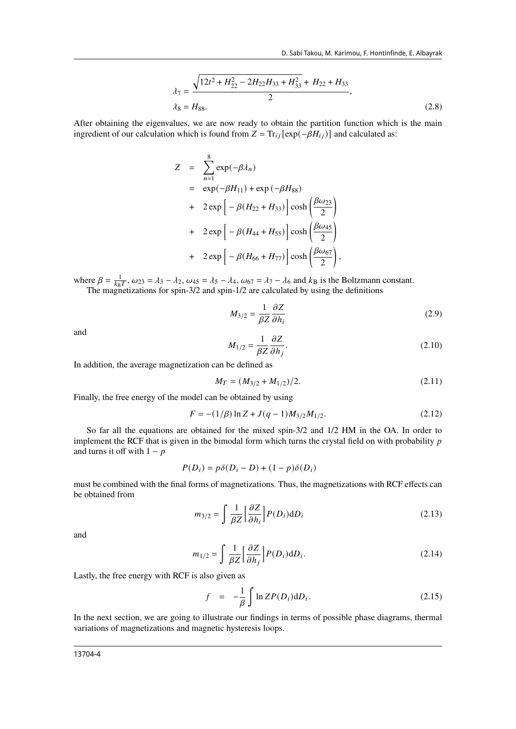$$
\lambda_7 = \frac{\sqrt{12t^2 + H_{22}^2 - 2H_{22}H_{33} + H_{33}^2} + H_{22} + H_{33}}{2},
$$
  
\n
$$
\lambda_8 = H_{88}.
$$
\n(2.8)

After obtaining the eigenvalues, we are now ready to obtain the partition function which is the main ingredient of our calculation which is found from  $Z = Tr_{ij} [\exp(-\beta H_{ij})]$  and calculated as:

$$
Z = \sum_{n=1}^{8} \exp(-\beta \lambda_n)
$$
  
\n
$$
= \exp(-\beta H_{11}) + \exp(-\beta H_{88})
$$
  
\n
$$
+ 2 \exp\left[-\beta (H_{22} + H_{33})\right] \cosh\left(\frac{\beta \omega_{23}}{2}\right)
$$
  
\n
$$
+ 2 \exp\left[-\beta (H_{44} + H_{55})\right] \cosh\left(\frac{\beta \omega_{45}}{2}\right)
$$
  
\n
$$
+ 2 \exp\left[-\beta (H_{66} + H_{77})\right] \cosh\left(\frac{\beta \omega_{67}}{2}\right),
$$

where  $\beta = \frac{1}{k_B T}$ ,  $\omega_{23} = \lambda_3 - \lambda_2$ ,  $\omega_{45} = \lambda_5 - \lambda_4$ ,  $\omega_{67} = \lambda_7 - \lambda_6$  and  $k_B$  is the Boltzmann constant. The magnetizations for spin-3/2 and spin-1/2 are calculated by using the definitions

$$
M_{3/2} = \frac{1}{\beta Z} \frac{\partial Z}{\partial h_i}
$$
 (2.9)

and

$$
M_{1/2} = \frac{1}{\beta Z} \frac{\partial Z}{\partial h_j}.
$$
\n(2.10)

In addition, the average magnetization can be defined as

$$
M_T = (M_{3/2} + M_{1/2})/2.
$$
 (2.11)

Finally, the free energy of the model can be obtained by using

$$
F = -(1/\beta) \ln Z + J(q-1)M_{3/2}M_{1/2}.
$$
 (2.12)

So far all the equations are obtained for the mixed spin-3/2 and 1/2 HM in the OA. In order to implement the RCF that is given in the bimodal form which turns the crystal field on with probability p and turns it off with  $1 - p$ 

$$
P(D_i) = p\delta(D_i - D) + (1 - p)\delta(D_i)
$$

must be combined with the final forms of magnetizations. Thus, the magnetizations with RCF effects can be obtained from

$$
m_{3/2} = \int \frac{1}{\beta Z} \left[ \frac{\partial Z}{\partial h_i} \right] P(D_i) \mathrm{d}D_i \tag{2.13}
$$

and

$$
m_{1/2} = \int \frac{1}{\beta Z} \left[ \frac{\partial Z}{\partial h_j} \right] P(D_i) \mathrm{d}D_i. \tag{2.14}
$$

Lastly, the free energy with RCF is also given as

$$
f = -\frac{1}{\beta} \int \ln Z P(D_i) \mathrm{d}D_i. \tag{2.15}
$$

In the next section, we are going to illustrate our findings in terms of possible phase diagrams, thermal variations of magnetizations and magnetic hysteresis loops.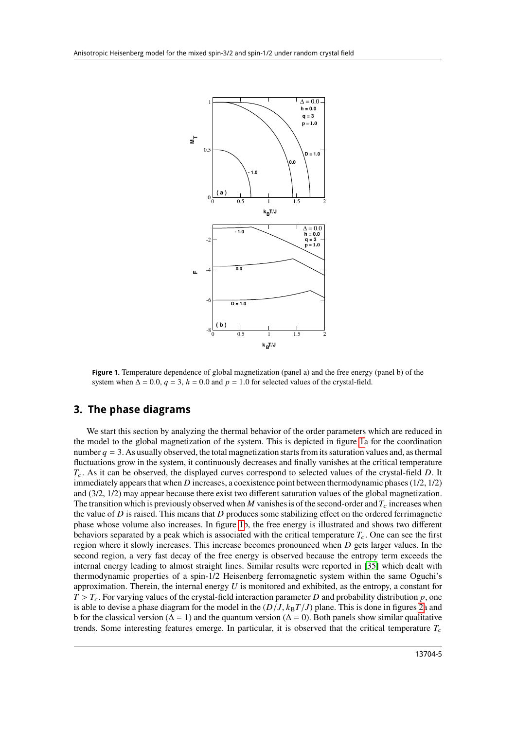

<span id="page-4-0"></span>**Figure 1.** Temperature dependence of global magnetization (panel a) and the free energy (panel b) of the system when  $\Delta = 0.0$ ,  $q = 3$ ,  $h = 0.0$  and  $p = 1.0$  for selected values of the crystal-field.

#### **3. The phase diagrams**

We start this section by analyzing the thermal behavior of the order parameters which are reduced in the model to the global magnetization of the system. This is depicted in figure [1a](#page-4-0) for the coordination number  $q = 3$ . As usually observed, the total magnetization starts from its saturation values and, as thermal fluctuations grow in the system, it continuously decreases and finally vanishes at the critical temperature  $T_c$ . As it can be observed, the displayed curves correspond to selected values of the crystal-field D. It immediately appears that when D increases, a coexistence point between thermodynamic phases  $(1/2, 1/2)$ and (3/2, 1/2) may appear because there exist two different saturation values of the global magnetization. The transition which is previously observed when M vanishes is of the second-order and  $T_c$  increases when the value of  $D$  is raised. This means that  $D$  produces some stabilizing effect on the ordered ferrimagnetic phase whose volume also increases. In figure [1b](#page-4-0), the free energy is illustrated and shows two different behaviors separated by a peak which is associated with the critical temperature  $T_c$ . One can see the first region where it slowly increases. This increase becomes pronounced when  $D$  gets larger values. In the second region, a very fast decay of the free energy is observed because the entropy term exceeds the internal energy leading to almost straight lines. Similar results were reported in [\[35\]](#page-11-20) which dealt with thermodynamic properties of a spin-1/2 Heisenberg ferromagnetic system within the same Oguchi's approximation. Therein, the internal energy  $U$  is monitored and exhibited, as the entropy, a constant for  $T > T_c$ . For varying values of the crystal-field interaction parameter D and probability distribution p, one is able to devise a phase diagram for the model in the  $(D/J, k_BT/J)$  plane. This is done in figures [2a](#page-5-0) and b for the classical version ( $\Delta = 1$ ) and the quantum version ( $\Delta = 0$ ). Both panels show similar qualitative trends. Some interesting features emerge. In particular, it is observed that the critical temperature  $T_c$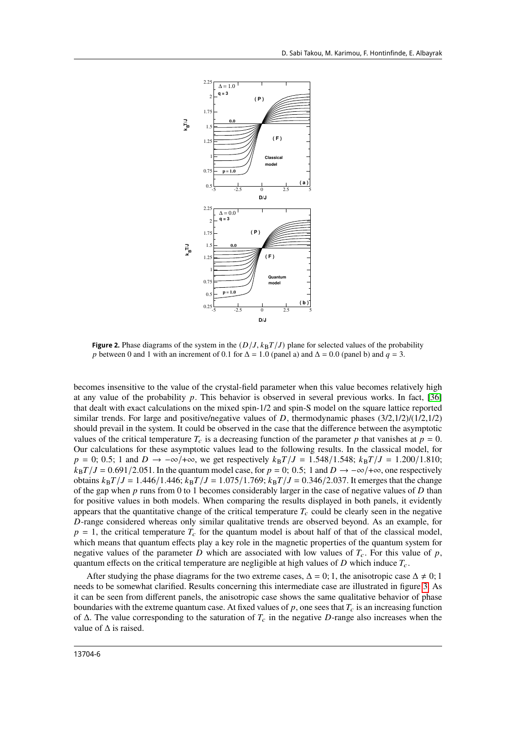

<span id="page-5-0"></span>**Figure 2.** Phase diagrams of the system in the  $(D/J, k_B T/J)$  plane for selected values of the probability p between 0 and 1 with an increment of 0.1 for  $\Delta = 1.0$  (panel a) and  $\Delta = 0.0$  (panel b) and  $q = 3$ .

becomes insensitive to the value of the crystal-field parameter when this value becomes relatively high at any value of the probability  $p$ . This behavior is observed in several previous works. In fact, [\[36\]](#page-11-21) that dealt with exact calculations on the mixed spin-1/2 and spin-S model on the square lattice reported similar trends. For large and positive/negative values of  $D$ , thermodynamic phases  $(3/2,1/2)/(1/2,1/2)$ should prevail in the system. It could be observed in the case that the difference between the asymptotic values of the critical temperature  $T_c$  is a decreasing function of the parameter p that vanishes at  $p = 0$ . Our calculations for these asymptotic values lead to the following results. In the classical model, for  $p = 0$ ; 0.5; 1 and  $D \to -\infty/+\infty$ , we get respectively  $k_B T / J = 1.548/1.548$ ;  $k_B T / J = 1.200/1.810$ ;  $k_{\rm B}T/J = 0.691/2.051$ . In the quantum model case, for  $p = 0$ ; 0.5; 1 and  $D \rightarrow -\infty/+\infty$ , one respectively obtains  $k_B T/J = 1.446/1.446$ ;  $k_B T/J = 1.075/1.769$ ;  $k_B T/J = 0.346/2.037$ . It emerges that the change of the gap when  $p$  runs from 0 to 1 becomes considerably larger in the case of negative values of  $D$  than for positive values in both models. When comparing the results displayed in both panels, it evidently appears that the quantitative change of the critical temperature  $T_c$  could be clearly seen in the negative  $D$ -range considered whereas only similar qualitative trends are observed beyond. As an example, for  $p = 1$ , the critical temperature  $T_c$  for the quantum model is about half of that of the classical model, which means that quantum effects play a key role in the magnetic properties of the quantum system for negative values of the parameter  $D$  which are associated with low values of  $T_c$ . For this value of  $p$ , quantum effects on the critical temperature are negligible at high values of  $D$  which induce  $T_c$ .

After studying the phase diagrams for the two extreme cases,  $\Delta = 0$ ; 1, the anisotropic case  $\Delta \neq 0$ ; 1 needs to be somewhat clarified. Results concerning this intermediate case are illustrated in figure [3.](#page-6-0) As it can be seen from different panels, the anisotropic case shows the same qualitative behavior of phase boundaries with the extreme quantum case. At fixed values of  $p$ , one sees that  $T_c$  is an increasing function of  $\Delta$ . The value corresponding to the saturation of  $T_c$  in the negative D-range also increases when the value of  $\Delta$  is raised.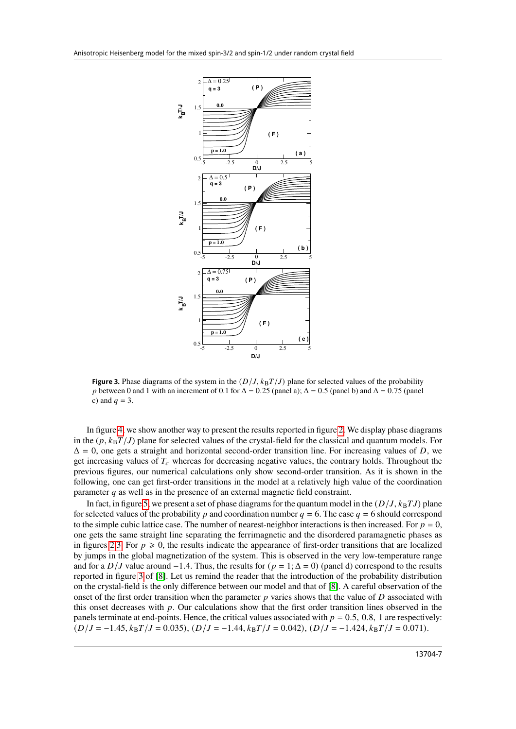

<span id="page-6-0"></span>**Figure 3.** Phase diagrams of the system in the  $(D/J, k_B T/J)$  plane for selected values of the probability p between 0 and 1 with an increment of 0.1 for  $\Delta = 0.25$  (panel a);  $\Delta = 0.5$  (panel b) and  $\Delta = 0.75$  (panel c) and  $q = 3$ .

In figure [4,](#page-7-0) we show another way to present the results reported in figure [2.](#page-5-0) We display phase diagrams in the  $(p, k_B T / J)$  plane for selected values of the crystal-field for the classical and quantum models. For  $\Delta = 0$ , one gets a straight and horizontal second-order transition line. For increasing values of D, we get increasing values of  $T_c$  whereas for decreasing negative values, the contrary holds. Throughout the previous figures, our numerical calculations only show second-order transition. As it is shown in the following, one can get first-order transitions in the model at a relatively high value of the coordination parameter  $q$  as well as in the presence of an external magnetic field constraint.

In fact, in figure [5,](#page-8-0) we present a set of phase diagrams for the quantum model in the  $(D/J, k_B T J)$  plane for selected values of the probability p and coordination number  $q = 6$ . The case  $q = 6$  should correspond to the simple cubic lattice case. The number of nearest-neighbor interactions is then increased. For  $p = 0$ , one gets the same straight line separating the ferrimagnetic and the disordered paramagnetic phases as in figures [2,](#page-5-0)[3.](#page-6-0) For  $p \ge 0$ , the results indicate the appearance of first-order transitions that are localized by jumps in the global magnetization of the system. This is observed in the very low-temperature range and for a  $D/J$  value around −1.4. Thus, the results for  $(p = 1; \Delta = 0)$  (panel d) correspond to the results reported in figure [3](#page-6-0) of [\[8\]](#page-10-7). Let us remind the reader that the introduction of the probability distribution on the crystal-field is the only difference between our model and that of [\[8\]](#page-10-7). A careful observation of the onset of the first order transition when the parameter  $p$  varies shows that the value of  $D$  associated with this onset decreases with  $p$ . Our calculations show that the first order transition lines observed in the panels terminate at end-points. Hence, the critical values associated with  $p = 0.5, 0.8, 1$  are respectively:  $(D/J = -1.45, k_B T/J = 0.035), (D/J = -1.44, k_B T/J = 0.042), (D/J = -1.424, k_B T/J = 0.071).$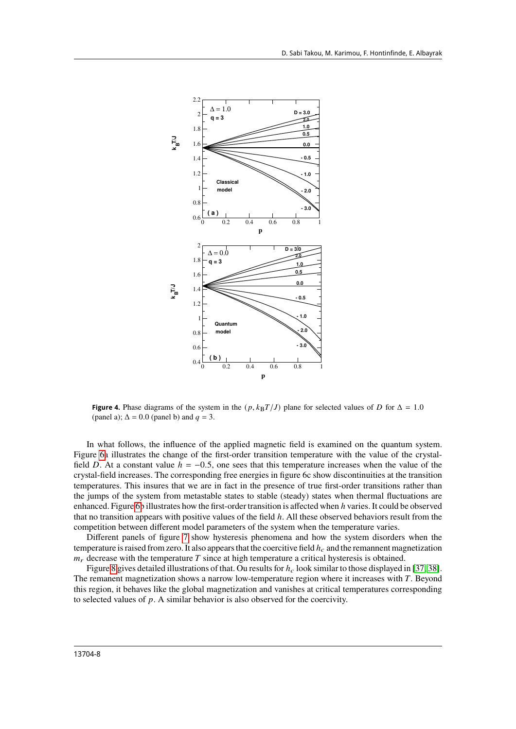

<span id="page-7-0"></span>**Figure 4.** Phase diagrams of the system in the  $(p, k_B T/J)$  plane for selected values of D for  $\Delta = 1.0$ (panel a);  $\Delta = 0.0$  (panel b) and  $q = 3$ .

In what follows, the influence of the applied magnetic field is examined on the quantum system. Figure [6a](#page-9-0) illustrates the change of the first-order transition temperature with the value of the crystalfield D. At a constant value  $h = -0.5$ , one sees that this temperature increases when the value of the crystal-field increases. The corresponding free energies in figure 6c show discontinuities at the transition temperatures. This insures that we are in fact in the presence of true first-order transitions rather than the jumps of the system from metastable states to stable (steady) states when thermal fluctuations are enhanced. Figure [6b](#page-9-0) illustrates how the first-order transition is affected when h varies. It could be observed that no transition appears with positive values of the field h. All these observed behaviors result from the competition between different model parameters of the system when the temperature varies.

Different panels of figure [7](#page-9-1) show hysteresis phenomena and how the system disorders when the temperature is raised from zero. It also appears that the coercitive field  $h_c$  and the remannent magnetization  $m_r$  decrease with the temperature T since at high temperature a critical hysteresis is obtained.

Figure [8](#page-10-14) gives detailed illustrations of that. Ou results for  $h_c$  look similar to those displayed in [\[37,](#page-11-22) [38\]](#page-11-23). The remanent magnetization shows a narrow low-temperature region where it increases with  $T$ . Beyond this region, it behaves like the global magnetization and vanishes at critical temperatures corresponding to selected values of  $p$ . A similar behavior is also observed for the coercivity.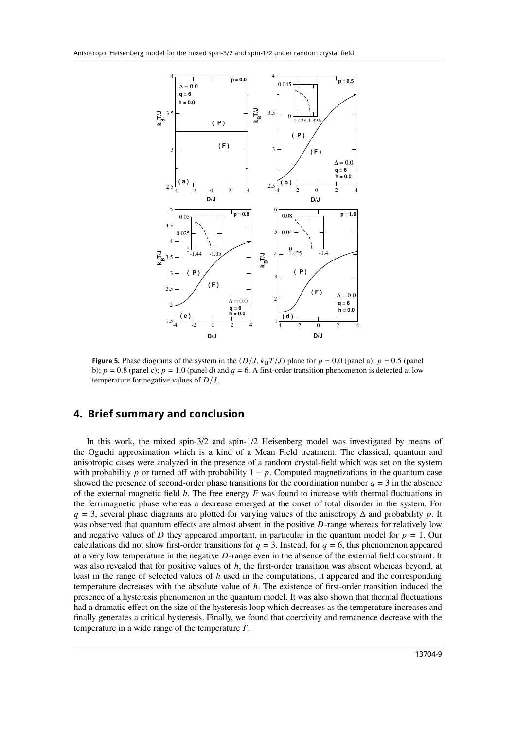

<span id="page-8-0"></span>**Figure 5.** Phase diagrams of the system in the  $(D/J, k_B T/J)$  plane for  $p = 0.0$  (panel a);  $p = 0.5$  (panel b);  $p = 0.8$  (panel c);  $p = 1.0$  (panel d) and  $q = 6$ . A first-order transition phenomenon is detected at low temperature for negative values of  $D/J$ .

#### **4. Brief summary and conclusion**

In this work, the mixed spin-3/2 and spin-1/2 Heisenberg model was investigated by means of the Oguchi approximation which is a kind of a Mean Field treatment. The classical, quantum and anisotropic cases were analyzed in the presence of a random crystal-field which was set on the system with probability p or turned off with probability  $1 - p$ . Computed magnetizations in the quantum case showed the presence of second-order phase transitions for the coordination number  $q = 3$  in the absence of the external magnetic field  $h$ . The free energy  $F$  was found to increase with thermal fluctuations in the ferrimagnetic phase whereas a decrease emerged at the onset of total disorder in the system. For  $q = 3$ , several phase diagrams are plotted for varying values of the anisotropy  $\Delta$  and probability p. It was observed that quantum effects are almost absent in the positive  $D$ -range whereas for relatively low and negative values of D they appeared important, in particular in the quantum model for  $p = 1$ . Our calculations did not show first-order transitions for  $q = 3$ . Instead, for  $q = 6$ , this phenomenon appeared at a very low temperature in the negative  $D$ -range even in the absence of the external field constraint. It was also revealed that for positive values of  $h$ , the first-order transition was absent whereas beyond, at least in the range of selected values of  $h$  used in the computations, it appeared and the corresponding temperature decreases with the absolute value of  $h$ . The existence of first-order transition induced the presence of a hysteresis phenomenon in the quantum model. It was also shown that thermal fluctuations had a dramatic effect on the size of the hysteresis loop which decreases as the temperature increases and finally generates a critical hysteresis. Finally, we found that coercivity and remanence decrease with the temperature in a wide range of the temperature  $T$ .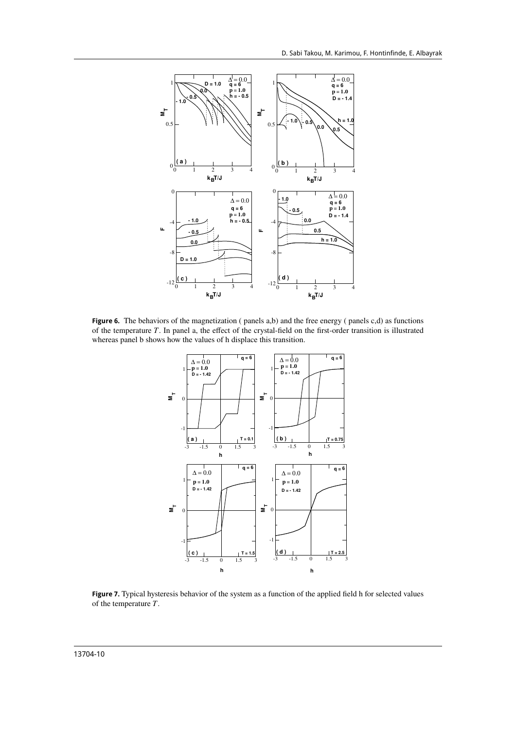

<span id="page-9-0"></span>**Figure 6.** The behaviors of the magnetization ( panels a,b) and the free energy ( panels c,d) as functions of the temperature  $T$ . In panel a, the effect of the crystal-field on the first-order transition is illustrated whereas panel b shows how the values of h displace this transition.



<span id="page-9-1"></span>**Figure 7.** Typical hysteresis behavior of the system as a function of the applied field h for selected values of the temperature  $\overline{T}$ .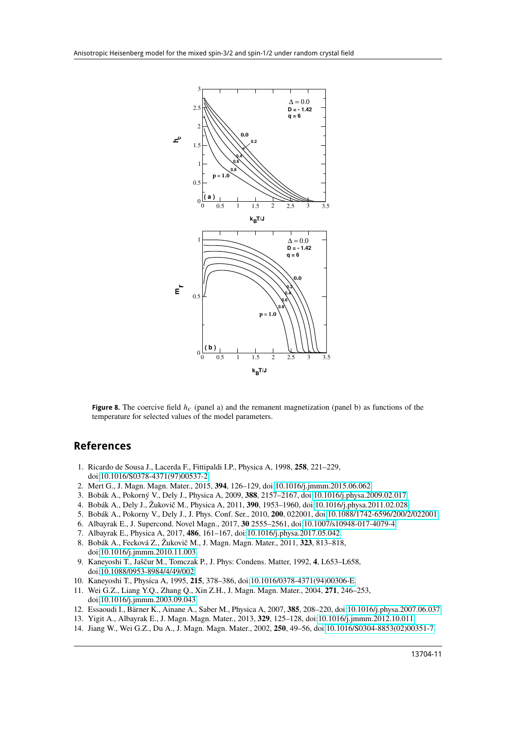

<span id="page-10-14"></span>**Figure 8.** The coercive field  $h_c$  (panel a) and the remanent magnetization (panel b) as functions of the temperature for selected values of the model parameters.

#### **References**

- <span id="page-10-0"></span>1. Ricardo de Sousa J., Lacerda F., Fittipaldi I.P., Physica A, 1998, **258**, 221–229, doi[:10.1016/S0378-4371\(97\)00537-2.](https://doi.org/10.1016/S0378-4371(97)00537-2)
- <span id="page-10-1"></span>2. Mert G., J. Magn. Magn. Mater., 2015, **394**, 126–129, doi[:10.1016/j.jmmm.2015.06.062.](https://doi.org/10.1016/j.jmmm.2015.06.062)
- <span id="page-10-2"></span>3. Bobák A., Pokorný V., Dely J., Physica A, 2009, **388**, 2157–2167, doi[:10.1016/j.physa.2009.02.017.](https://doi.org/10.1016/j.physa.2009.02.017)
- <span id="page-10-3"></span>4. Bobák A., Dely J., Žukovič M., Physica A, 2011, **390**, 1953–1960, doi[:10.1016/j.physa.2011.02.028.](https://doi.org/10.1016/j.physa.2011.02.028)
- <span id="page-10-4"></span>5. Bobák A., Pokorny V., Dely J., J. Phys. Conf. Ser., 2010, **200**, 022001, doi[:10.1088/1742-6596/200/2/022001.](https://doi.org/10.1088/1742-6596/200/2/022001)
- <span id="page-10-5"></span>6. Albayrak E., J. Supercond. Novel Magn., 2017, **30** 2555–2561, doi[:10.1007/s10948-017-4079-4.](https://doi.org/10.1007/s10948-017-4079-4)
- <span id="page-10-6"></span>7. Albayrak E., Physica A, 2017, **486**, 161–167, doi[:10.1016/j.physa.2017.05.042.](https://doi.org/10.1016/j.physa.2017.05.042)
- <span id="page-10-7"></span>8. Bobák A., Fecková Z., Žukovič M., J. Magn. Magn. Mater., 2011, **323**, 813–818,
- doi[:10.1016/j.jmmm.2010.11.003.](https://doi.org/10.1016/j.jmmm.2010.11.003)
- <span id="page-10-8"></span>9. Kaneyoshi T., Jaščur M., Tomczak P., J. Phys: Condens. Matter, 1992, **4**, L653–L658, doi[:10.1088/0953-8984/4/49/002.](https://doi.org/10.1088/0953-8984/4/49/002)
- <span id="page-10-9"></span>10. Kaneyoshi T., Physica A, 1995, **215**, 378–386, doi[:10.1016/0378-4371\(94\)00306-E.](https://doi.org/10.1016/0378-4371(94)00306-E)
- <span id="page-10-10"></span>11. Wei G.Z., Liang Y.Q., Zhang Q., Xin Z.H., J. Magn. Magn. Mater., 2004, **271**, 246–253, doi[:10.1016/j.jmmm.2003.09.043.](https://doi.org/10.1016/j.jmmm.2003.09.043)
- <span id="page-10-11"></span>12. Essaoudi I., Bärner K., Ainane A., Saber M., Physica A, 2007, **385**, 208–220, doi[:10.1016/j.physa.2007.06.037.](https://doi.org/10.1016/j.physa.2007.06.037)
- <span id="page-10-12"></span>13. Yigit A., Albayrak E., J. Magn. Magn. Mater., 2013, **329**, 125–128, doi[:10.1016/j.jmmm.2012.10.011.](https://doi.org/10.1016/j.jmmm.2012.10.011)
- <span id="page-10-13"></span>14. Jiang W., Wei G.Z., Du A., J. Magn. Magn. Mater., 2002, **250**, 49–56, doi[:10.1016/S0304-8853\(02\)00351-7.](https://doi.org/10.1016/S0304-8853(02)00351-7)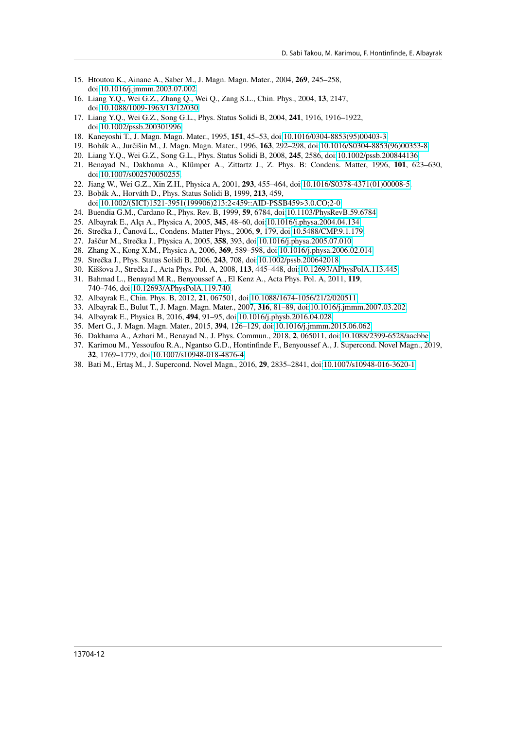- <span id="page-11-0"></span>15. Htoutou K., Ainane A., Saber M., J. Magn. Magn. Mater., 2004, **269**, 245–258, doi[:10.1016/j.jmmm.2003.07.002.](https://doi.org/10.1016/j.jmmm.2003.07.002)
- <span id="page-11-1"></span>16. Liang Y.Q., Wei G.Z., Zhang Q., Wei Q., Zang S.L., Chin. Phys., 2004, **13**, 2147, doi[:10.1088/1009-1963/13/12/030.](https://doi.org/10.1088/1009-1963/13/12/030)
- <span id="page-11-2"></span>17. Liang Y.Q., Wei G.Z., Song G.L., Phys. Status Solidi B, 2004, **241**, 1916, 1916–1922, doi[:10.1002/pssb.200301996.](https://doi.org/10.1002/pssb.200301996)
- <span id="page-11-3"></span>18. Kaneyoshi T., J. Magn. Magn. Mater., 1995, **151**, 45–53, doi[:10.1016/0304-8853\(95\)00403-3.](https://doi.org/10.1016/0304-8853(95)00403-3)
- <span id="page-11-4"></span>19. Bobák A., Jurčišin M., J. Magn. Magn. Mater., 1996, **163**, 292–298, doi[:10.1016/S0304-8853\(96\)00353-8.](https://doi.org/10.1016/S0304-8853(96)00353-8)
- <span id="page-11-5"></span>20. Liang Y.Q., Wei G.Z., Song G.L., Phys. Status Solidi B, 2008, **245**, 2586, doi[:10.1002/pssb.200844136.](https://doi.org/10.1002/pssb.200844136)
- <span id="page-11-6"></span>21. Benayad N., Dakhama A., Klümper A., Zittartz J., Z. Phys. B: Condens. Matter, 1996, **101**, 623–630, doi[:10.1007/s002570050255.](https://doi.org/10.1007/s002570050255)
- <span id="page-11-7"></span>22. Jiang W., Wei G.Z., Xin Z.H., Physica A, 2001, **293**, 455–464, doi[:10.1016/S0378-4371\(01\)00008-5.](https://doi.org/10.1016/S0378-4371(01)00008-5)
- <span id="page-11-8"></span>23. Bobák A., Horváth D., Phys. Status Solidi B, 1999, **213**, 459, doi[:10.1002/\(SICI\)1521-3951\(199906\)213:2<459::AID-PSSB459>3.0.CO;2-0.](https://doi.org/10.1002/(SICI)1521-3951(199906)213:2%3C459::AID-PSSB459%3E3.0.CO;2-0)
- <span id="page-11-9"></span>24. Buendia G.M., Cardano R., Phys. Rev. B, 1999, **59**, 6784, doi[:10.1103/PhysRevB.59.6784.](https://doi.org/10.1103/PhysRevB.59.6784)
- <span id="page-11-10"></span>25. Albayrak E., Alçı A., Physica A, 2005, **345**, 48–60, doi[:10.1016/j.physa.2004.04.134.](https://doi.org/10.1016/j.physa.2004.04.134)
- <span id="page-11-11"></span>26. Strečka J., Čanová L., Condens. Matter Phys., 2006, **9**, 179, doi[:10.5488/CMP.9.1.179.](https://doi.org/10.5488/CMP.9.1.179)
- <span id="page-11-12"></span>27. Jaščur M., Strečka J., Physica A, 2005, **358**, 393, doi[:10.1016/j.physa.2005.07.010.](https://doi.org/10.1016/j.physa.2005.07.010)
- <span id="page-11-13"></span>28. Zhang X., Kong X.M., Physica A, 2006, **369**, 589–598, doi[:10.1016/j.physa.2006.02.014.](https://doi.org/10.1016/j.physa.2006.02.014)
- <span id="page-11-14"></span>29. Strečka J., Phys. Status Solidi B, 2006, **243**, 708, doi[:10.1002/pssb.200642018.](https://doi.org/10.1002/pssb.200642018)
- <span id="page-11-15"></span>30. Kiššova J., Strečka J., Acta Phys. Pol. A, 2008, **113**, 445–448, doi[:10.12693/APhysPolA.113.445.](https://doi.org/10.12693/APhysPolA.113.445)
- <span id="page-11-16"></span>31. Bahmad L., Benayad M.R., Benyoussef A., El Kenz A., Acta Phys. Pol. A, 2011, **119**, 740–746, doi[:10.12693/APhysPolA.119.740.](https://doi.org/10.12693/APhysPolA.119.740)
- <span id="page-11-17"></span>32. Albayrak E., Chin. Phys. B, 2012, **21**, 067501, doi[:10.1088/1674-1056/21/2/020511.](https://doi.org/10.1088/1674-1056/21/2/020511)
- <span id="page-11-18"></span>33. Albayrak E., Bulut T., J. Magn. Magn. Mater., 2007, **316**, 81–89, doi[:10.1016/j.jmmm.2007.03.202.](https://doi.org/10.1016/j.jmmm.2007.03.202)
- <span id="page-11-19"></span>34. Albayrak E., Physica B, 2016, **494**, 91–95, doi[:10.1016/j.physb.2016.04.028.](https://doi.org/10.1016/j.physb.2016.04.028)
- <span id="page-11-20"></span>35. Mert G., J. Magn. Magn. Mater., 2015, **394**, 126–129, doi[:10.1016/j.jmmm.2015.06.062.](https://doi.org/10.1016/j.jmmm.2015.06.062)
- <span id="page-11-21"></span>36. Dakhama A., Azhari M., Benayad N., J. Phys. Commun., 2018, **2**, 065011, doi[:10.1088/2399-6528/aacbbe.](https://doi.org/10.1088/2399-6528/aacbbe)
- <span id="page-11-22"></span>37. Karimou M., Yessoufou R.A., Ngantso G.D., Hontinfinde F., Benyoussef A., J. Supercond. Novel Magn., 2019, **32**, 1769–1779, doi[:10.1007/s10948-018-4876-4.](https://doi.org/10.1007/s10948-018-4876-4)
- <span id="page-11-23"></span>38. Bati M., Ertaş M., J. Supercond. Novel Magn., 2016, **29**, 2835–2841, doi[:10.1007/s10948-016-3620-1.](https://doi.org/10.1007/s10948-016-3620-1)